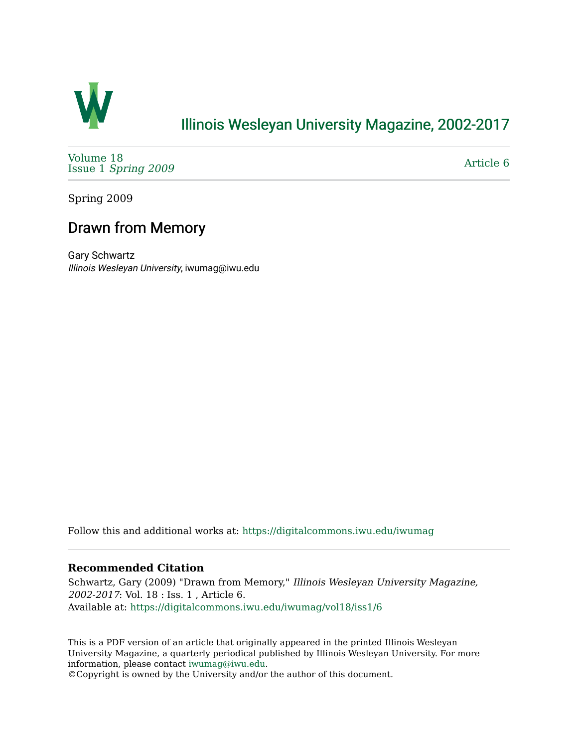

# [Illinois Wesleyan University Magazine, 2002-2017](https://digitalcommons.iwu.edu/iwumag)

[Volume 18](https://digitalcommons.iwu.edu/iwumag/vol18)  Issue 1 [Spring 2009](https://digitalcommons.iwu.edu/iwumag/vol18/iss1)

[Article 6](https://digitalcommons.iwu.edu/iwumag/vol18/iss1/6) 

Spring 2009

# Drawn from Memory

Gary Schwartz Illinois Wesleyan University, iwumag@iwu.edu

Follow this and additional works at: [https://digitalcommons.iwu.edu/iwumag](https://digitalcommons.iwu.edu/iwumag?utm_source=digitalcommons.iwu.edu%2Fiwumag%2Fvol18%2Fiss1%2F6&utm_medium=PDF&utm_campaign=PDFCoverPages) 

#### **Recommended Citation**

Schwartz, Gary (2009) "Drawn from Memory," Illinois Wesleyan University Magazine, 2002-2017: Vol. 18 : Iss. 1 , Article 6. Available at: [https://digitalcommons.iwu.edu/iwumag/vol18/iss1/6](https://digitalcommons.iwu.edu/iwumag/vol18/iss1/6?utm_source=digitalcommons.iwu.edu%2Fiwumag%2Fvol18%2Fiss1%2F6&utm_medium=PDF&utm_campaign=PDFCoverPages)

This is a PDF version of an article that originally appeared in the printed Illinois Wesleyan University Magazine, a quarterly periodical published by Illinois Wesleyan University. For more information, please contact [iwumag@iwu.edu](mailto:iwumag@iwu.edu).

©Copyright is owned by the University and/or the author of this document.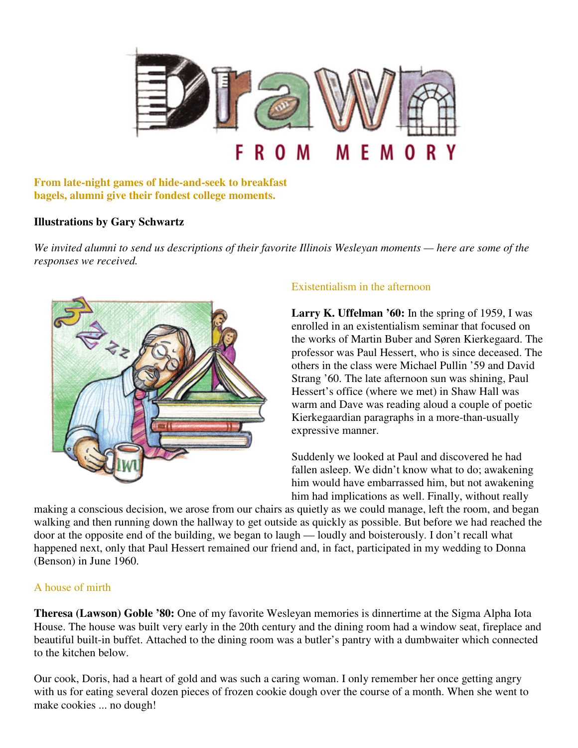

**From late-night games of hide-and-seek to breakfast bagels, alumni give their fondest college moments.** 

#### **Illustrations by Gary Schwartz**

*We invited alumni to send us descriptions of their favorite Illinois Wesleyan moments — here are some of the responses we received.*



## Existentialism in the afternoon

**Larry K. Uffelman '60:** In the spring of 1959, I was enrolled in an existentialism seminar that focused on the works of Martin Buber and Søren Kierkegaard. The professor was Paul Hessert, who is since deceased. The others in the class were Michael Pullin '59 and David Strang '60. The late afternoon sun was shining, Paul Hessert's office (where we met) in Shaw Hall was warm and Dave was reading aloud a couple of poetic Kierkegaardian paragraphs in a more-than-usually expressive manner.

Suddenly we looked at Paul and discovered he had fallen asleep. We didn't know what to do; awakening him would have embarrassed him, but not awakening him had implications as well. Finally, without really

making a conscious decision, we arose from our chairs as quietly as we could manage, left the room, and began walking and then running down the hallway to get outside as quickly as possible. But before we had reached the door at the opposite end of the building, we began to laugh — loudly and boisterously. I don't recall what happened next, only that Paul Hessert remained our friend and, in fact, participated in my wedding to Donna (Benson) in June 1960.

#### A house of mirth

**Theresa (Lawson) Goble '80:** One of my favorite Wesleyan memories is dinnertime at the Sigma Alpha Iota House. The house was built very early in the 20th century and the dining room had a window seat, fireplace and beautiful built-in buffet. Attached to the dining room was a butler's pantry with a dumbwaiter which connected to the kitchen below.

Our cook, Doris, had a heart of gold and was such a caring woman. I only remember her once getting angry with us for eating several dozen pieces of frozen cookie dough over the course of a month. When she went to make cookies ... no dough!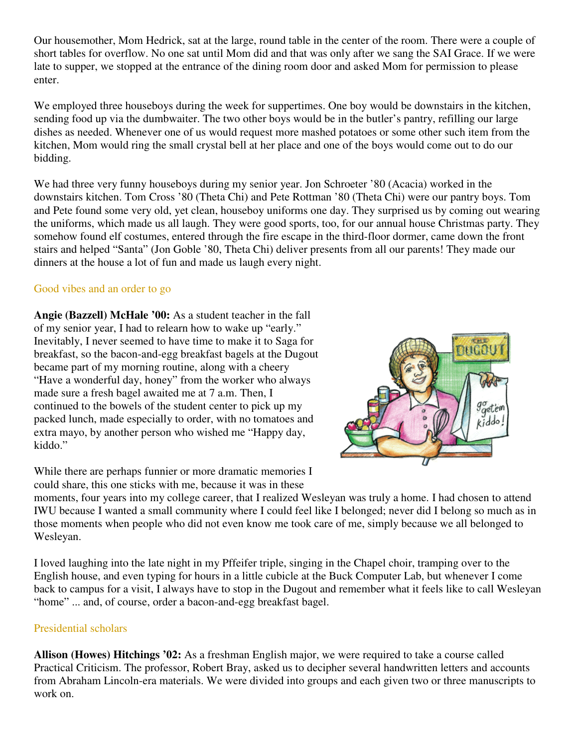Our housemother, Mom Hedrick, sat at the large, round table in the center of the room. There were a couple of short tables for overflow. No one sat until Mom did and that was only after we sang the SAI Grace. If we were late to supper, we stopped at the entrance of the dining room door and asked Mom for permission to please enter.

We employed three houseboys during the week for suppertimes. One boy would be downstairs in the kitchen, sending food up via the dumbwaiter. The two other boys would be in the butler's pantry, refilling our large dishes as needed. Whenever one of us would request more mashed potatoes or some other such item from the kitchen, Mom would ring the small crystal bell at her place and one of the boys would come out to do our bidding.

We had three very funny houseboys during my senior year. Jon Schroeter '80 (Acacia) worked in the downstairs kitchen. Tom Cross '80 (Theta Chi) and Pete Rottman '80 (Theta Chi) were our pantry boys. Tom and Pete found some very old, yet clean, houseboy uniforms one day. They surprised us by coming out wearing the uniforms, which made us all laugh. They were good sports, too, for our annual house Christmas party. They somehow found elf costumes, entered through the fire escape in the third-floor dormer, came down the front stairs and helped "Santa" (Jon Goble '80, Theta Chi) deliver presents from all our parents! They made our dinners at the house a lot of fun and made us laugh every night.

#### Good vibes and an order to go

**Angie (Bazzell) McHale '00:** As a student teacher in the fall of my senior year, I had to relearn how to wake up "early." Inevitably, I never seemed to have time to make it to Saga for breakfast, so the bacon-and-egg breakfast bagels at the Dugout became part of my morning routine, along with a cheery "Have a wonderful day, honey" from the worker who always made sure a fresh bagel awaited me at 7 a.m. Then, I continued to the bowels of the student center to pick up my packed lunch, made especially to order, with no tomatoes and extra mayo, by another person who wished me "Happy day, kiddo."

While there are perhaps funnier or more dramatic memories I could share, this one sticks with me, because it was in these



moments, four years into my college career, that I realized Wesleyan was truly a home. I had chosen to attend IWU because I wanted a small community where I could feel like I belonged; never did I belong so much as in those moments when people who did not even know me took care of me, simply because we all belonged to Wesleyan.

I loved laughing into the late night in my Pffeifer triple, singing in the Chapel choir, tramping over to the English house, and even typing for hours in a little cubicle at the Buck Computer Lab, but whenever I come back to campus for a visit, I always have to stop in the Dugout and remember what it feels like to call Wesleyan "home" ... and, of course, order a bacon-and-egg breakfast bagel.

#### Presidential scholars

**Allison (Howes) Hitchings '02:** As a freshman English major, we were required to take a course called Practical Criticism. The professor, Robert Bray, asked us to decipher several handwritten letters and accounts from Abraham Lincoln-era materials. We were divided into groups and each given two or three manuscripts to work on.